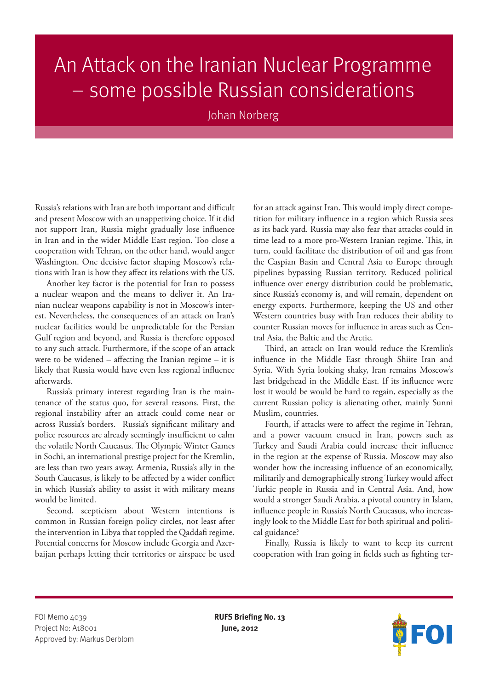## An Attack on the Iranian Nuclear Programme – some possible Russian considerations

Johan Norberg

Russia's relations with Iran are both important and difficult and present Moscow with an unappetizing choice. If it did not support Iran, Russia might gradually lose influence in Iran and in the wider Middle East region. Too close a cooperation with Tehran, on the other hand, would anger Washington. One decisive factor shaping Moscow's relations with Iran is how they affect its relations with the US.

Another key factor is the potential for Iran to possess a nuclear weapon and the means to deliver it. An Iranian nuclear weapons capability is not in Moscow's interest. Nevertheless, the consequences of an attack on Iran's nuclear facilities would be unpredictable for the Persian Gulf region and beyond, and Russia is therefore opposed to any such attack. Furthermore, if the scope of an attack were to be widened – affecting the Iranian regime – it is likely that Russia would have even less regional influence afterwards.

Russia's primary interest regarding Iran is the maintenance of the status quo, for several reasons. First, the regional instability after an attack could come near or across Russia's borders. Russia's significant military and police resources are already seemingly insufficient to calm the volatile North Caucasus. The Olympic Winter Games in Sochi, an international prestige project for the Kremlin, are less than two years away. Armenia, Russia's ally in the South Caucasus, is likely to be affected by a wider conflict in which Russia's ability to assist it with military means would be limited.

Second, scepticism about Western intentions is common in Russian foreign policy circles, not least after the intervention in Libya that toppled the Qaddafi regime. Potential concerns for Moscow include Georgia and Azerbaijan perhaps letting their territories or airspace be used

for an attack against Iran. This would imply direct competition for military influence in a region which Russia sees as its back yard. Russia may also fear that attacks could in time lead to a more pro-Western Iranian regime. This, in turn, could facilitate the distribution of oil and gas from the Caspian Basin and Central Asia to Europe through pipelines bypassing Russian territory. Reduced political influence over energy distribution could be problematic, since Russia's economy is, and will remain, dependent on energy exports. Furthermore, keeping the US and other Western countries busy with Iran reduces their ability to counter Russian moves for influence in areas such as Central Asia, the Baltic and the Arctic.

Third, an attack on Iran would reduce the Kremlin's influence in the Middle East through Shiite Iran and Syria. With Syria looking shaky, Iran remains Moscow's last bridgehead in the Middle East. If its influence were lost it would be would be hard to regain, especially as the current Russian policy is alienating other, mainly Sunni Muslim, countries.

Fourth, if attacks were to affect the regime in Tehran, and a power vacuum ensued in Iran, powers such as Turkey and Saudi Arabia could increase their influence in the region at the expense of Russia. Moscow may also wonder how the increasing influence of an economically, militarily and demographically strong Turkey would affect Turkic people in Russia and in Central Asia. And, how would a stronger Saudi Arabia, a pivotal country in Islam, influence people in Russia's North Caucasus, who increasingly look to the Middle East for both spiritual and political guidance?

Finally, Russia is likely to want to keep its current cooperation with Iran going in fields such as fighting ter-

FOI Memo 4039 **RUFS Briefing No. 13** Project No: A18001 **June, 2012** Approved by: Markus Derblom